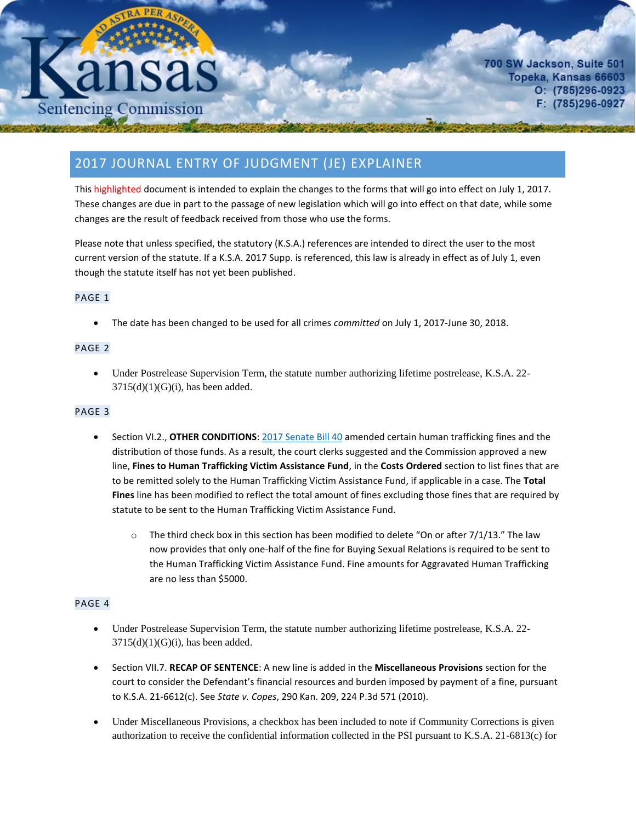# **Sentencing Commission**

700 SW Jackson, Suite 501 Topeka, Kansas 66603  $O: (785)296-0923$ F: (785)296-0927

# 2017 JOURNAL ENTRY OF JUDGMENT (JE) EXPLAINER

This highlighted document is intended to explain the changes to the forms that will go into effect on July 1, 2017. These changes are due in part to the passage of new legislation which will go into effect on that date, while some changes are the result of feedback received from those who use the forms.

Please note that unless specified, the statutory (K.S.A.) references are intended to direct the user to the most current version of the statute. If a K.S.A. 2017 Supp. is referenced, this law is already in effect as of July 1, even though the statute itself has not yet been published.

# PAGE 1

The date has been changed to be used for all crimes *committed* on July 1, 2017-June 30, 2018.

### PAGE 2

 Under Postrelease Supervision Term, the statute number authorizing lifetime postrelease, K.S.A. 22-  $3715(d)(1)(G)(i)$ , has been added.

## PAGE 3

- Section VI.2., **OTHER CONDITIONS**[: 2017 Senate Bill 40](http://www.kslegislature.org/li/b2017_18/measures/sb40/) amended certain human trafficking fines and the distribution of those funds. As a result, the court clerks suggested and the Commission approved a new line, **Fines to Human Trafficking Victim Assistance Fund**, in the **Costs Ordered** section to list fines that are to be remitted solely to the Human Trafficking Victim Assistance Fund, if applicable in a case. The **Total Fines** line has been modified to reflect the total amount of fines excluding those fines that are required by statute to be sent to the Human Trafficking Victim Assistance Fund.
	- $\circ$  The third check box in this section has been modified to delete "On or after 7/1/13." The law now provides that only one-half of the fine for Buying Sexual Relations is required to be sent to the Human Trafficking Victim Assistance Fund. Fine amounts for Aggravated Human Trafficking are no less than \$5000.

### PAGE 4

- Under Postrelease Supervision Term, the statute number authorizing lifetime postrelease, K.S.A. 22-  $3715(d)(1)(G)(i)$ , has been added.
- Section VII.7. **RECAP OF SENTENCE**: A new line is added in the **Miscellaneous Provisions** section for the court to consider the Defendant's financial resources and burden imposed by payment of a fine, pursuant to K.S.A. 21-6612(c). See *State v. Copes*, 290 Kan. 209, 224 P.3d 571 (2010).
- Under Miscellaneous Provisions, a checkbox has been included to note if Community Corrections is given authorization to receive the confidential information collected in the PSI pursuant to K.S.A. 21-6813(c) for